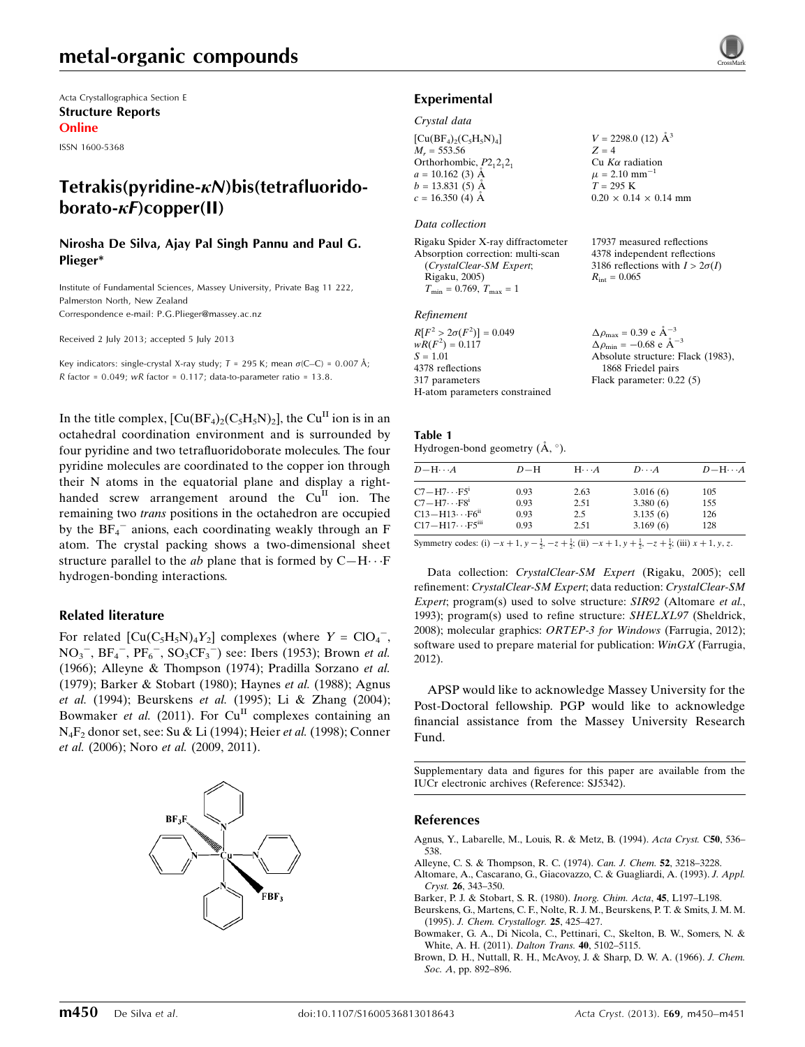Acta Crystallographica Section E Structure Reports Online

ISSN 1600-5368

## Tetrakis(pyridine- $\kappa$ N)bis(tetrafluorido $borato-*\kappa*F)copper(II)$

#### Nirosha De Silva, Ajay Pal Singh Pannu and Paul G. Plieger\*

Institute of Fundamental Sciences, Massey University, Private Bag 11 222, Palmerston North, New Zealand Correspondence e-mail: [P.G.Plieger@massey.ac.nz](https://scripts.iucr.org/cgi-bin/cr.cgi?rm=pdfbb&cnor=sj5342&bbid=BB20)

Received 2 July 2013; accepted 5 July 2013

Key indicators: single-crystal X-ray study;  $T = 295$  K; mean  $\sigma$ (C–C) = 0.007 Å;  $R$  factor = 0.049; wR factor = 0.117; data-to-parameter ratio = 13.8.

In the title complex,  $\text{[Cu(BF<sub>4</sub>)<sub>2</sub>(C<sub>5</sub>H<sub>5</sub>N)<sub>2</sub>]}$ , the Cu<sup>II</sup> ion is in an octahedral coordination environment and is surrounded by four pyridine and two tetrafluoridoborate molecules. The four pyridine molecules are coordinated to the copper ion through their N atoms in the equatorial plane and display a righthanded screw arrangement around the  $Cu<sup>H</sup>$  ion. The remaining two trans positions in the octahedron are occupied by the  $BF_4^-$  anions, each coordinating weakly through an F atom. The crystal packing shows a two-dimensional sheet structure parallel to the *ab* plane that is formed by  $C-H\cdots F$ hydrogen-bonding interactions.

#### Related literature

For related  $\left[\text{Cu}(C_5H_5N)_4Y_2\right]$  complexes (where  $Y = \text{ClO}_4^-$ ,  $NO<sub>3</sub><sup>-</sup>, BF<sub>4</sub><sup>-</sup>, PF<sub>6</sub><sup>-</sup>, SO<sub>3</sub>CF<sub>3</sub><sup>-</sup>) see: Ibers (1953); Brown *et al.*$ (1966); Alleyne & Thompson (1974); Pradilla Sorzano et al. (1979); Barker & Stobart (1980); Haynes et al. (1988); Agnus et al. (1994); Beurskens et al. (1995); Li & Zhang (2004); Bowmaker et al. (2011). For  $Cu<sup>H</sup>$  complexes containing an N4F2 donor set, see: Su & Li (1994); Heier et al. (1998); Conner et al. (2006); Noro et al. (2009, 2011).



## Experimental

#### Crystal data

 $[Cu(BF_4)_2(C_5H_5N)_4]$  $M_r = 553.56$ Orthorhombic,  $P2_12_12_1$  $a = 10.162$  (3) Å  $b = 13.831(5)$  Å  $c = 16.350(4)$  Å

#### Data collection

Rigaku Spider X-ray diffractometer Absorption correction: multi-scan (CrystalClear-SM Expert; Rigaku, 2005)  $T_{\text{min}} = 0.769, T_{\text{max}} = 1$ 

#### Refinement

| $\Delta \rho_{\text{max}} = 0.39 \text{ e A}^{-3}$ |
|----------------------------------------------------|
| $\Delta \rho_{\rm min} = -0.68$ e Å <sup>-3</sup>  |
| Absolute structure: Flack (1983),                  |
| 1868 Friedel pairs                                 |
| Flack parameter: $0.22(5)$                         |
|                                                    |
|                                                    |

Table 1 Hydrogen-bond geometry  $(A, \circ)$ .

| $D - H \cdots A$                     | $D-H$ | $H\cdots A$ | $D\cdots A$ | $D - H \cdots A$ |
|--------------------------------------|-------|-------------|-------------|------------------|
| $C7 - H7 \cdots F5^i$                | 0.93  | 2.63        | 3.016(6)    | 105              |
| $C7 - H7 \cdots F8^i$                | 0.93  | 2.51        | 3.380(6)    | 155              |
| $C13 - H13 \cdots F6^{ii}$           | 0.93  | 2.5         | 3.135(6)    | 126              |
| $C17 - H17 \cdots F5$ <sup>iii</sup> | 0.93  | 2.51        | 3.169(6)    | 128              |
|                                      |       |             |             |                  |

Symmetry codes: (i)  $-x+1$ ,  $y-\frac{1}{2}$ ,  $-z+\frac{1}{2}$ ; (ii)  $-x+1$ ,  $y+\frac{1}{2}$ ,  $-z+\frac{1}{2}$ ; (iii)  $x+1$ ,  $y$ ,  $z$ .

Data collection: CrystalClear-SM Expert (Rigaku, 2005); cell refinement: CrystalClear-SM Expert; data reduction: CrystalClear-SM Expert; program(s) used to solve structure: SIR92 (Altomare et al., 1993); program(s) used to refine structure: SHELXL97 (Sheldrick, 2008); molecular graphics: ORTEP-3 for Windows (Farrugia, 2012); software used to prepare material for publication: WinGX (Farrugia, 2012).

APSP would like to acknowledge Massey University for the Post-Doctoral fellowship. PGP would like to acknowledge financial assistance from the Massey University Research Fund.

Supplementary data and figures for this paper are available from the IUCr electronic archives (Reference: SJ5342).

#### References

- [Agnus, Y., Labarelle, M., Louis, R. & Metz, B. \(1994\).](https://scripts.iucr.org/cgi-bin/cr.cgi?rm=pdfbb&cnor=sj5342&bbid=BB1) Acta Cryst. C50, 536– [538.](https://scripts.iucr.org/cgi-bin/cr.cgi?rm=pdfbb&cnor=sj5342&bbid=BB1)
- [Alleyne, C. S. & Thompson, R. C. \(1974\).](https://scripts.iucr.org/cgi-bin/cr.cgi?rm=pdfbb&cnor=sj5342&bbid=BB2) Can. J. Chem. 52, 3218–3228.
- [Altomare, A., Cascarano, G., Giacovazzo, C. & Guagliardi, A. \(1993\).](https://scripts.iucr.org/cgi-bin/cr.cgi?rm=pdfbb&cnor=sj5342&bbid=BB3) J. Appl. Cryst. 26[, 343–350.](https://scripts.iucr.org/cgi-bin/cr.cgi?rm=pdfbb&cnor=sj5342&bbid=BB3)
- [Barker, P. J. & Stobart, S. R. \(1980\).](https://scripts.iucr.org/cgi-bin/cr.cgi?rm=pdfbb&cnor=sj5342&bbid=BB4) Inorg. Chim. Acta, 45, L197–L198.
- [Beurskens, G., Martens, C. F., Nolte, R. J. M., Beurskens, P. T. & Smits, J. M. M.](https://scripts.iucr.org/cgi-bin/cr.cgi?rm=pdfbb&cnor=sj5342&bbid=BB5) (1995). [J. Chem. Crystallogr.](https://scripts.iucr.org/cgi-bin/cr.cgi?rm=pdfbb&cnor=sj5342&bbid=BB5) 25, 425–427.
- [Bowmaker, G. A., Di Nicola, C., Pettinari, C., Skelton, B. W., Somers, N. &](https://scripts.iucr.org/cgi-bin/cr.cgi?rm=pdfbb&cnor=sj5342&bbid=BB6) [White, A. H. \(2011\).](https://scripts.iucr.org/cgi-bin/cr.cgi?rm=pdfbb&cnor=sj5342&bbid=BB6) Dalton Trans. 40, 5102–5115.
- [Brown, D. H., Nuttall, R. H., McAvoy, J. & Sharp, D. W. A. \(1966\).](https://scripts.iucr.org/cgi-bin/cr.cgi?rm=pdfbb&cnor=sj5342&bbid=BB7) J. Chem. Soc. A, pp. 892-896.



 $V = 2298.0$  (12)  $\AA^3$ 

1

 $0.20 \times 0.14 \times 0.14$  mm

17937 measured reflections 4378 independent reflections 3186 reflections with  $I > 2\sigma(I)$ 

 $Z = 4$ Cu  $K\alpha$  radiation  $\mu$  = 2.10 mm<sup>-</sup>

 $T = 295 K$ 

 $R_{\text{int}} = 0.065$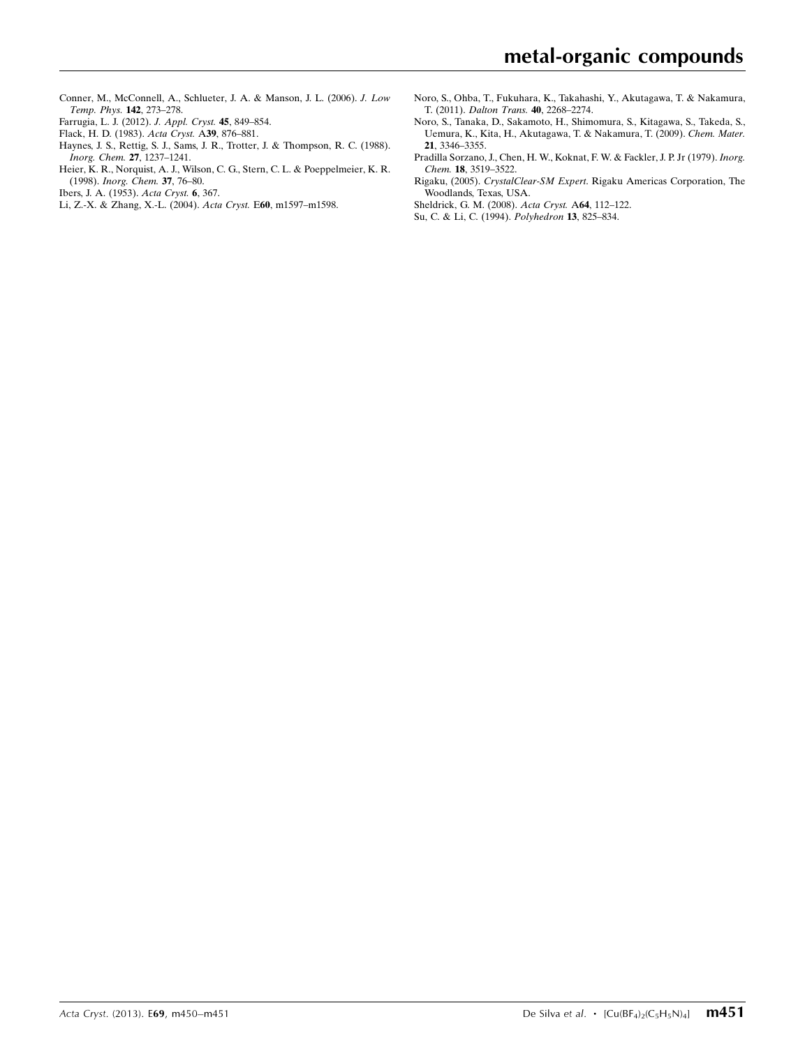- [Conner, M., McConnell, A., Schlueter, J. A. & Manson, J. L. \(2006\).](https://scripts.iucr.org/cgi-bin/cr.cgi?rm=pdfbb&cnor=sj5342&bbid=BB8) J. Low [Temp. Phys.](https://scripts.iucr.org/cgi-bin/cr.cgi?rm=pdfbb&cnor=sj5342&bbid=BB8) 142, 273–278.
- [Farrugia, L. J. \(2012\).](https://scripts.iucr.org/cgi-bin/cr.cgi?rm=pdfbb&cnor=sj5342&bbid=BB9) J. Appl. Cryst. 45, 849–854.
- [Flack, H. D. \(1983\).](https://scripts.iucr.org/cgi-bin/cr.cgi?rm=pdfbb&cnor=sj5342&bbid=BB10) Acta Cryst. A39, 876–881.
- [Haynes, J. S., Rettig, S. J., Sams, J. R., Trotter, J. & Thompson, R. C. \(1988\).](https://scripts.iucr.org/cgi-bin/cr.cgi?rm=pdfbb&cnor=sj5342&bbid=BB11) [Inorg. Chem.](https://scripts.iucr.org/cgi-bin/cr.cgi?rm=pdfbb&cnor=sj5342&bbid=BB11) 27, 1237–1241.
- [Heier, K. R., Norquist, A. J., Wilson, C. G., Stern, C. L. & Poeppelmeier, K. R.](https://scripts.iucr.org/cgi-bin/cr.cgi?rm=pdfbb&cnor=sj5342&bbid=BB12) (1998). [Inorg. Chem.](https://scripts.iucr.org/cgi-bin/cr.cgi?rm=pdfbb&cnor=sj5342&bbid=BB12) 37, 76–80.
- [Ibers, J. A. \(1953\).](https://scripts.iucr.org/cgi-bin/cr.cgi?rm=pdfbb&cnor=sj5342&bbid=BB13) Acta Cryst. 6, 367.
- [Li, Z.-X. & Zhang, X.-L. \(2004\).](https://scripts.iucr.org/cgi-bin/cr.cgi?rm=pdfbb&cnor=sj5342&bbid=BB14) Acta Cryst. E60, m1597–m1598.
- [Noro, S., Ohba, T., Fukuhara, K., Takahashi, Y., Akutagawa, T. & Nakamura,](https://scripts.iucr.org/cgi-bin/cr.cgi?rm=pdfbb&cnor=sj5342&bbid=BB15) T. (2011). [Dalton Trans.](https://scripts.iucr.org/cgi-bin/cr.cgi?rm=pdfbb&cnor=sj5342&bbid=BB15) 40, 2268–2274.
- [Noro, S., Tanaka, D., Sakamoto, H., Shimomura, S., Kitagawa, S., Takeda, S.,](https://scripts.iucr.org/cgi-bin/cr.cgi?rm=pdfbb&cnor=sj5342&bbid=BB16) [Uemura, K., Kita, H., Akutagawa, T. & Nakamura, T. \(2009\).](https://scripts.iucr.org/cgi-bin/cr.cgi?rm=pdfbb&cnor=sj5342&bbid=BB16) Chem. Mater. 21[, 3346–3355.](https://scripts.iucr.org/cgi-bin/cr.cgi?rm=pdfbb&cnor=sj5342&bbid=BB16)
- [Pradilla Sorzano, J., Chen, H. W., Koknat, F. W. & Fackler, J. P. Jr \(1979\).](https://scripts.iucr.org/cgi-bin/cr.cgi?rm=pdfbb&cnor=sj5342&bbid=BB17) Inorg. Chem. 18[, 3519–3522.](https://scripts.iucr.org/cgi-bin/cr.cgi?rm=pdfbb&cnor=sj5342&bbid=BB17)
- Rigaku, (2005). CrystalClear-SM Expert[. Rigaku Americas Corporation, The](https://scripts.iucr.org/cgi-bin/cr.cgi?rm=pdfbb&cnor=sj5342&bbid=BB18) [Woodlands, Texas, USA.](https://scripts.iucr.org/cgi-bin/cr.cgi?rm=pdfbb&cnor=sj5342&bbid=BB18)

[Sheldrick, G. M. \(2008\).](https://scripts.iucr.org/cgi-bin/cr.cgi?rm=pdfbb&cnor=sj5342&bbid=BB19) Acta Cryst. A64, 112–122.

[Su, C. & Li, C. \(1994\).](https://scripts.iucr.org/cgi-bin/cr.cgi?rm=pdfbb&cnor=sj5342&bbid=BB20) Polyhedron 13, 825–834.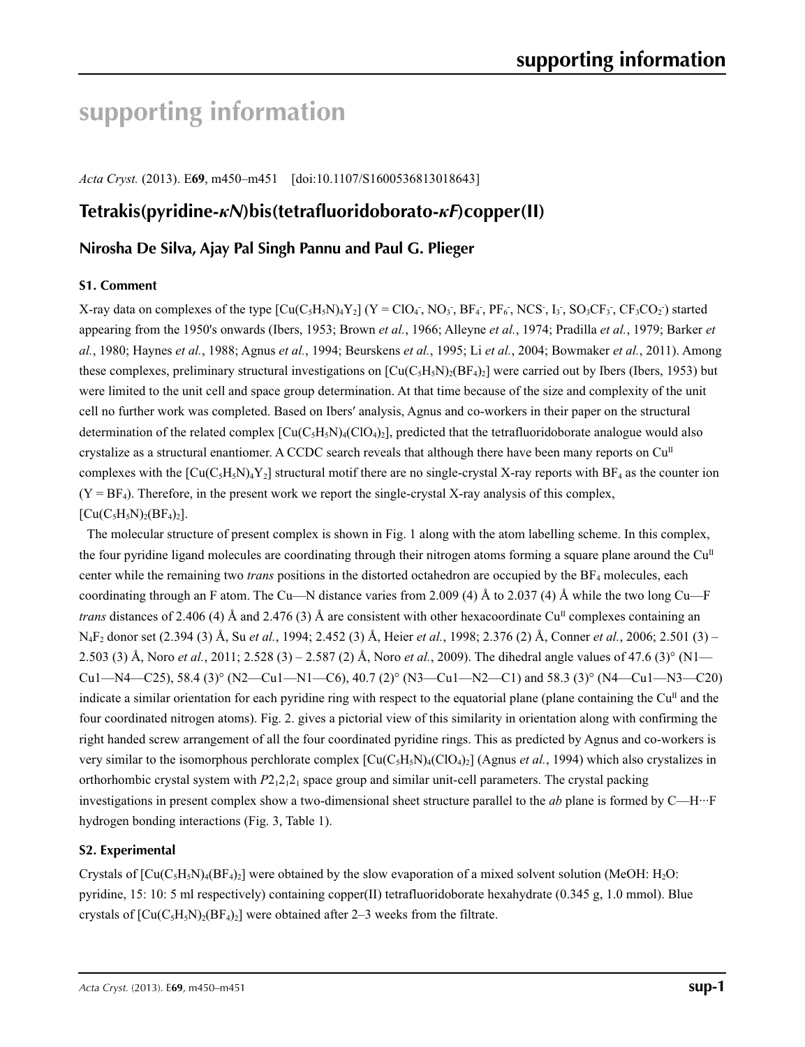# **supporting information**

*Acta Cryst.* (2013). E**69**, m450–m451 [doi:10.1107/S1600536813018643]

## **Tetrakis(pyridine-***κN***)bis(tetrafluoridoborato-***κF***)copper(II)**

## **Nirosha De Silva, Ajay Pal Singh Pannu and Paul G. Plieger**

## **S1. Comment**

X-ray data on complexes of the type  $[Cu(C_5H_5N)_4Y_2]$  (Y = ClO<sub>4</sub>, NO<sub>3</sub>, BF<sub>4</sub>, PF<sub>6</sub>, NCS, I<sub>3</sub>, SO<sub>3</sub>CF<sub>3</sub>, CF<sub>3</sub>CO<sub>2</sub>) started appearing from the 1950's onwards (Ibers, 1953; Brown *et al.*, 1966; Alleyne *et al.*, 1974; Pradilla *et al.*, 1979; Barker *et al.*, 1980; Haynes *et al.*, 1988; Agnus *et al.*, 1994; Beurskens *et al.*, 1995; Li *et al.*, 2004; Bowmaker *et al.*, 2011). Among these complexes, preliminary structural investigations on  $\text{[Cu(C<sub>5</sub>H<sub>3</sub>N)<sub>2</sub>(BF<sub>4</sub>)<sub>2</sub>]}$  were carried out by Ibers (Ibers, 1953) but were limited to the unit cell and space group determination. At that time because of the size and complexity of the unit cell no further work was completed. Based on Ibers′ analysis, Agnus and co-workers in their paper on the structural determination of the related complex  $\left[\text{Cu}(C_5H_5N)\right]$  (ClO<sub>4</sub>)<sub>2</sub>, predicted that the tetrafluoridoborate analogue would also crystalize as a structural enantiomer. A CCDC search reveals that although there have been many reports on  $Cu<sup>II</sup>$ complexes with the  $\left[\text{Cu}(C_5H_5N)_4Y_2\right]$  structural motif there are no single-crystal X-ray reports with BF<sub>4</sub> as the counter ion  $(Y = BF<sub>4</sub>)$ . Therefore, in the present work we report the single-crystal X-ray analysis of this complex,  $[Cu(C<sub>5</sub>H<sub>5</sub>N)<sub>2</sub>(BF<sub>4</sub>)<sub>2</sub>].$ 

The molecular structure of present complex is shown in Fig. 1 along with the atom labelling scheme. In this complex, the four pyridine ligand molecules are coordinating through their nitrogen atoms forming a square plane around the  $Cu<sup>II</sup>$ center while the remaining two *trans* positions in the distorted octahedron are occupied by the BF<sub>4</sub> molecules, each coordinating through an F atom. The Cu—N distance varies from 2.009 (4) Å to 2.037 (4) Å while the two long Cu—F *trans* distances of 2.406 (4) Å and 2.476 (3) Å are consistent with other hexacoordinate Cu<sup>II</sup> complexes containing an N4F2 donor set (2.394 (3) Å, Su *et al.*, 1994; 2.452 (3) Å, Heier *et al.*, 1998; 2.376 (2) Å, Conner *et al.*, 2006; 2.501 (3) – 2.503 (3) Å, Noro *et al.*, 2011; 2.528 (3) – 2.587 (2) Å, Noro *et al.*, 2009). The dihedral angle values of 47.6 (3)° (N1—  $Cu1-M4—C25$ , 58.4 (3)° (N2—Cu1—N1—C6), 40.7 (2)° (N3—Cu1—N2—C1) and 58.3 (3)° (N4—Cu1—N3—C20) indicate a similar orientation for each pyridine ring with respect to the equatorial plane (plane containing the  $Cu<sup>II</sup>$  and the four coordinated nitrogen atoms). Fig. 2. gives a pictorial view of this similarity in orientation along with confirming the right handed screw arrangement of all the four coordinated pyridine rings. This as predicted by Agnus and co-workers is very similar to the isomorphous perchlorate complex  $\left[\text{Cu}(C_5H_5N)_4(\text{ClO}_4)_2\right]$  (Agnus *et al.*, 1994) which also crystalizes in orthorhombic crystal system with  $P2_12_12_1$  space group and similar unit-cell parameters. The crystal packing investigations in present complex show a two-dimensional sheet structure parallel to the *ab* plane is formed by C—H···F hydrogen bonding interactions (Fig. 3, Table 1).

## **S2. Experimental**

Crystals of  $\left[\text{Cu}(C_5H_5N)_4(BF_4)_2\right]$  were obtained by the slow evaporation of a mixed solvent solution (MeOH: H<sub>2</sub>O: pyridine, 15: 10: 5 ml respectively) containing copper(II) tetrafluoridoborate hexahydrate (0.345 g, 1.0 mmol). Blue crystals of  $[Cu(C_5H_5N)_2(BF_4)_2]$  were obtained after 2–3 weeks from the filtrate.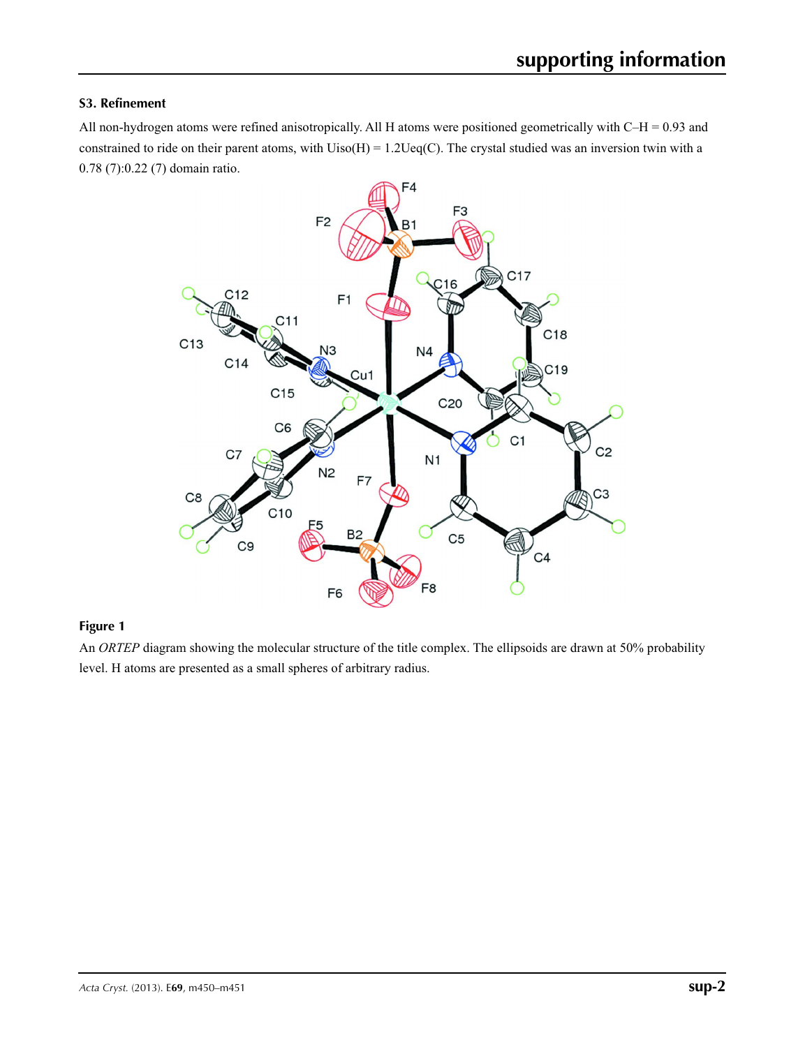## **S3. Refinement**

All non-hydrogen atoms were refined anisotropically. All H atoms were positioned geometrically with C–H = 0.93 and constrained to ride on their parent atoms, with  $Uiso(H) = 1.2Ueq(C)$ . The crystal studied was an inversion twin with a 0.78 (7):0.22 (7) domain ratio.



## **Figure 1**

An *ORTEP* diagram showing the molecular structure of the title complex. The ellipsoids are drawn at 50% probability level. H atoms are presented as a small spheres of arbitrary radius.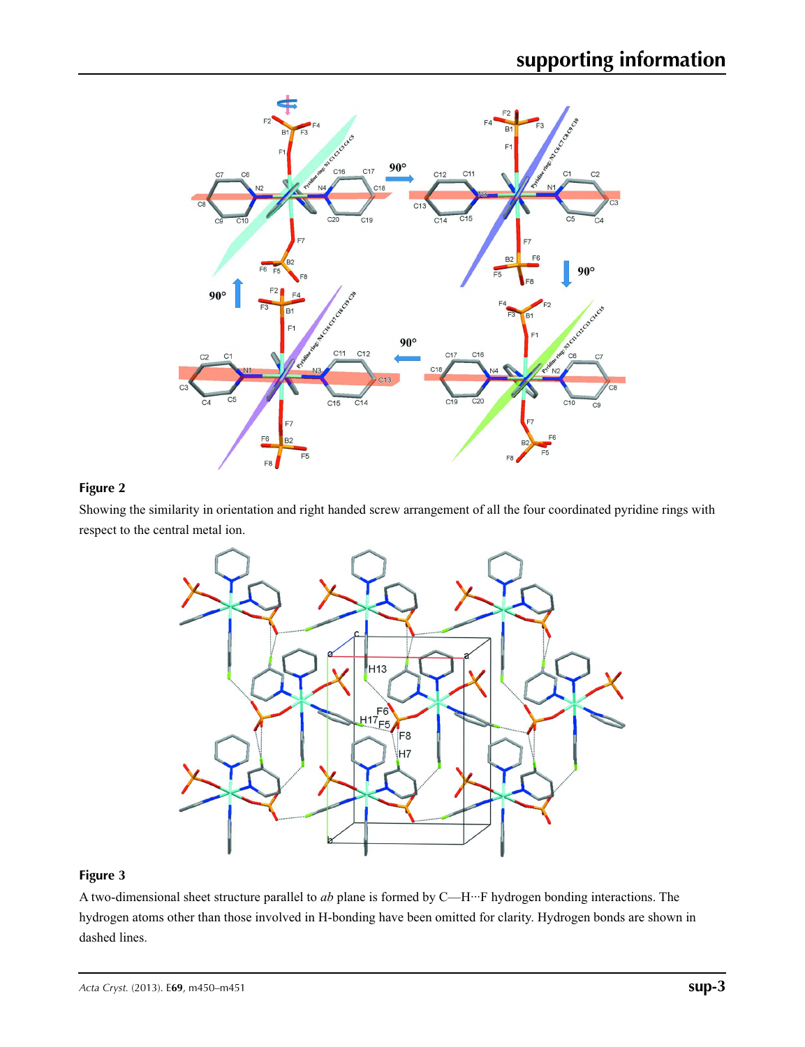

## **Figure 2**

Showing the similarity in orientation and right handed screw arrangement of all the four coordinated pyridine rings with respect to the central metal ion.



## **Figure 3**

A two-dimensional sheet structure parallel to *ab* plane is formed by C—H···F hydrogen bonding interactions. The hydrogen atoms other than those involved in H-bonding have been omitted for clarity. Hydrogen bonds are shown in dashed lines.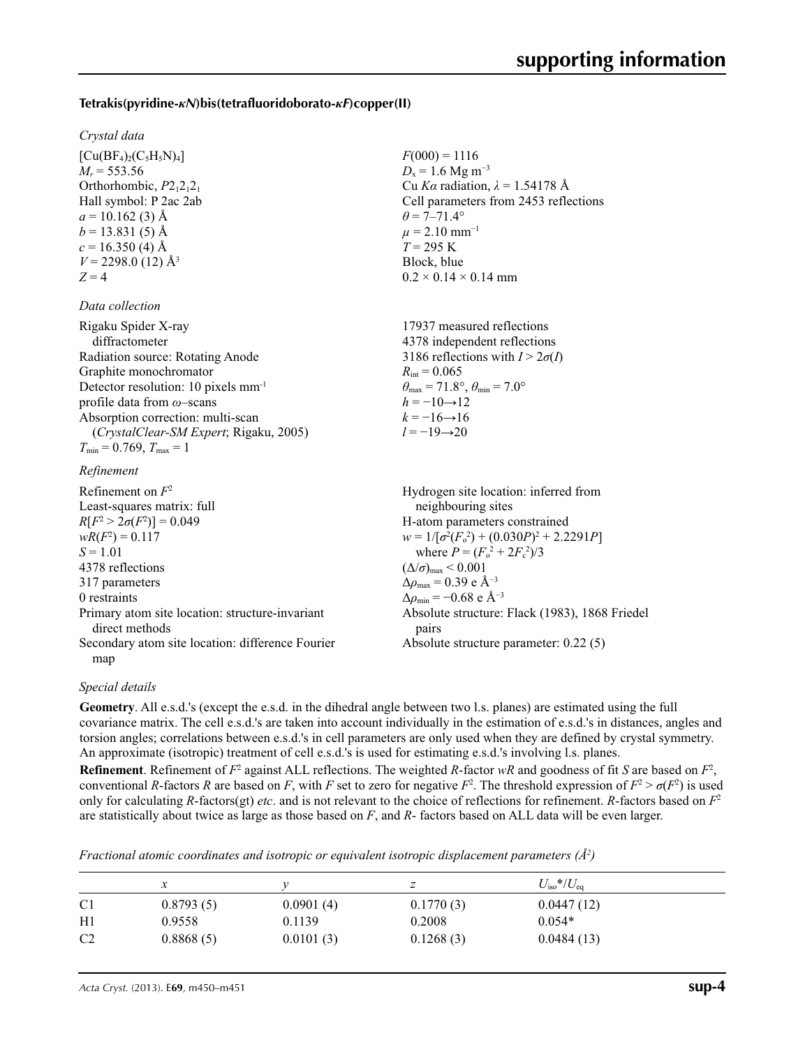### **Tetrakis(pyridine-***κN***)bis(tetrafluoridoborato-***κF***)copper(II)**

#### *Crystal data*

 $[Cu(BF_4)_2(C_5H_5N)_4]$  $M_r = 553.56$ Orthorhombic,  $P2_12_12_1$ Hall symbol: P 2ac 2ab  $a = 10.162(3)$  Å  $b = 13.831(5)$  Å  $c = 16.350$  (4) Å  $V = 2298.0$  (12) Å<sup>3</sup>  $Z = 4$ 

#### *Data collection*

| Rigaku Spider X-ray                             | 17937 measured reflections                                              |
|-------------------------------------------------|-------------------------------------------------------------------------|
| diffractometer                                  | 4378 independent reflections                                            |
| Radiation source: Rotating Anode                | 3186 reflections with $I > 2\sigma(I)$                                  |
| Graphite monochromator                          | $R_{\text{int}} = 0.065$                                                |
| Detector resolution: 10 pixels mm <sup>-1</sup> | $\theta_{\text{max}} = 71.8^{\circ}, \theta_{\text{min}} = 7.0^{\circ}$ |
| profile data from $\omega$ -scans               | $h = -10 \rightarrow 12$                                                |
| Absorption correction: multi-scan               | $k = -16 \rightarrow 16$                                                |
| (CrystalClear-SM Expert; Rigaku, 2005)          | $l = -19 \rightarrow 20$                                                |
| $T_{\min} = 0.769$ , $T_{\max} = 1$             |                                                                         |

#### *Refinement*

Refinement on *F*<sup>2</sup> Least-squares matrix: full *R*[ $F^2 > 2\sigma(F^2)$ ] = 0.049  $wR(F^2) = 0.117$ *S* = 1.01 4378 reflections 317 parameters 0 restraints Primary atom site location: structure-invariant direct methods Secondary atom site location: difference Fourier map Hydrogen site location: inferred from neighbouring sites H-atom parameters constrained  $w = 1/[\sigma^2 (F_0^2) + (0.030P)^2 + 2.2291P]$ where  $P = (F_o^2 + 2F_c^2)/3$  $(\Delta/\sigma)_{\text{max}}$  < 0.001  $Δρ<sub>max</sub> = 0.39 e Å<sup>-3</sup>$  $\Delta\rho_{\rm min}$  = −0.68 e Å<sup>-3</sup> Absolute structure: Flack (1983), 1868 Friedel pairs Absolute structure parameter: 0.22 (5)

#### *Special details*

**Geometry**. All e.s.d.'s (except the e.s.d. in the dihedral angle between two l.s. planes) are estimated using the full covariance matrix. The cell e.s.d.'s are taken into account individually in the estimation of e.s.d.'s in distances, angles and torsion angles; correlations between e.s.d.'s in cell parameters are only used when they are defined by crystal symmetry. An approximate (isotropic) treatment of cell e.s.d.'s is used for estimating e.s.d.'s involving l.s. planes.

 $F(000) = 1116$  $D_x = 1.6$  Mg m<sup>-3</sup>

 $\theta$  = 7–71.4°  $\mu$  = 2.10 mm<sup>-1</sup>  $T = 295$  K Block, blue

 $0.2 \times 0.14 \times 0.14$  mm

Cu *Kα* radiation, *λ* = 1.54178 Å Cell parameters from 2453 reflections

**Refinement**. Refinement of  $F^2$  against ALL reflections. The weighted *R*-factor  $wR$  and goodness of fit *S* are based on  $F^2$ , conventional *R*-factors *R* are based on *F*, with *F* set to zero for negative  $F^2$ . The threshold expression of  $F^2 > \sigma(F^2)$  is used only for calculating *R*-factors(gt) *etc*. and is not relevant to the choice of reflections for refinement. *R*-factors based on *F*<sup>2</sup> are statistically about twice as large as those based on *F*, and *R*- factors based on ALL data will be even larger.

*Fractional atomic coordinates and isotropic or equivalent isotropic displacement parameters (Å<sup>2</sup>)* 

|                |           |           |           | $U_{\rm iso}*/U_{\rm eq}$ |  |
|----------------|-----------|-----------|-----------|---------------------------|--|
| C <sub>1</sub> | 0.8793(5) | 0.0901(4) | 0.1770(3) | 0.0447(12)                |  |
| H1             | 0.9558    | 0.1139    | 0.2008    | $0.054*$                  |  |
| C <sub>2</sub> | 0.8868(5) | 0.0101(3) | 0.1268(3) | 0.0484(13)                |  |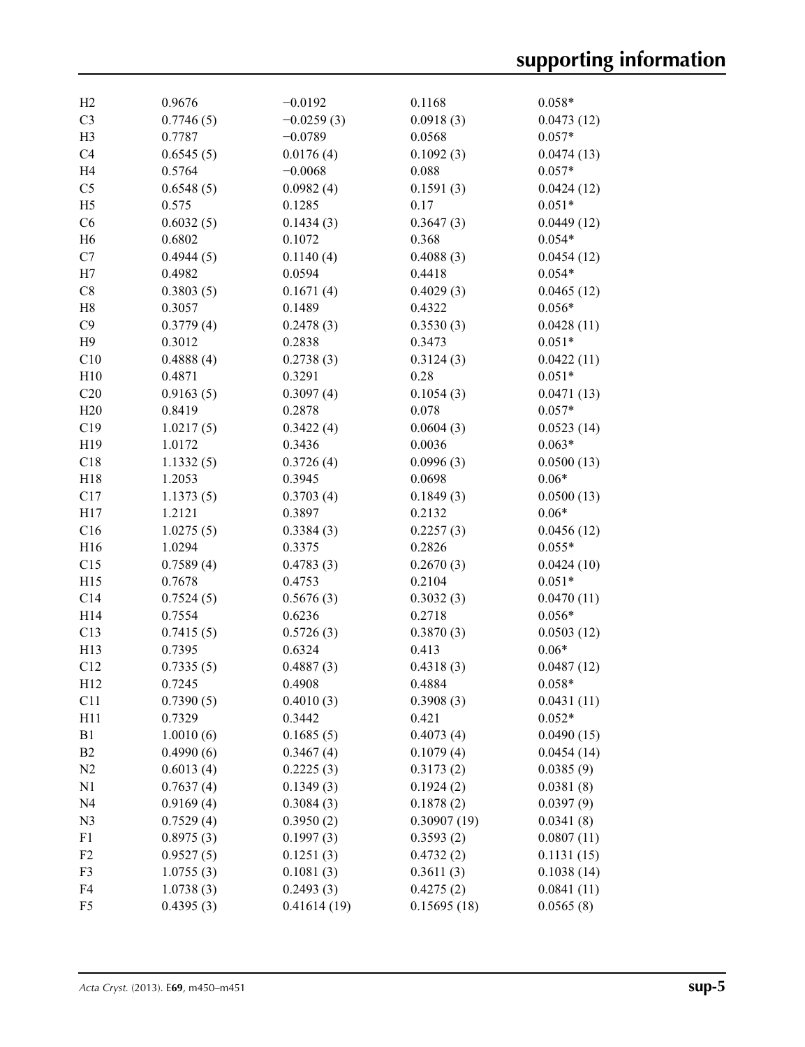| H2             | 0.9676    | $-0.0192$    | 0.1168      | $0.058*$   |
|----------------|-----------|--------------|-------------|------------|
| C <sub>3</sub> | 0.7746(5) | $-0.0259(3)$ | 0.0918(3)   | 0.0473(12) |
| H <sub>3</sub> | 0.7787    | $-0.0789$    | 0.0568      | $0.057*$   |
| C <sub>4</sub> | 0.6545(5) | 0.0176(4)    | 0.1092(3)   | 0.0474(13) |
| H <sub>4</sub> | 0.5764    | $-0.0068$    | 0.088       | $0.057*$   |
| C <sub>5</sub> | 0.6548(5) | 0.0982(4)    | 0.1591(3)   | 0.0424(12) |
| H <sub>5</sub> | 0.575     | 0.1285       | 0.17        | $0.051*$   |
| C6             | 0.6032(5) | 0.1434(3)    | 0.3647(3)   | 0.0449(12) |
| H <sub>6</sub> | 0.6802    | 0.1072       | 0.368       | $0.054*$   |
| C7             | 0.4944(5) | 0.1140(4)    | 0.4088(3)   | 0.0454(12) |
| H7             | 0.4982    | 0.0594       | 0.4418      | $0.054*$   |
| C8             | 0.3803(5) | 0.1671(4)    | 0.4029(3)   | 0.0465(12) |
| H8             | 0.3057    | 0.1489       | 0.4322      | $0.056*$   |
| C9             | 0.3779(4) | 0.2478(3)    | 0.3530(3)   | 0.0428(11) |
| H9             | 0.3012    | 0.2838       | 0.3473      | $0.051*$   |
| C10            | 0.4888(4) | 0.2738(3)    | 0.3124(3)   | 0.0422(11) |
| H10            | 0.4871    | 0.3291       | 0.28        | $0.051*$   |
| C20            | 0.9163(5) | 0.3097(4)    | 0.1054(3)   | 0.0471(13) |
| H20            | 0.8419    | 0.2878       | 0.078       | $0.057*$   |
| C19            | 1.0217(5) | 0.3422(4)    | 0.0604(3)   | 0.0523(14) |
| H19            | 1.0172    | 0.3436       | 0.0036      | $0.063*$   |
| C18            | 1.1332(5) | 0.3726(4)    | 0.0996(3)   | 0.0500(13) |
| H18            | 1.2053    | 0.3945       | 0.0698      | $0.06*$    |
| C17            | 1.1373(5) | 0.3703(4)    | 0.1849(3)   | 0.0500(13) |
| H17            | 1.2121    | 0.3897       | 0.2132      | $0.06*$    |
| C16            | 1.0275(5) | 0.3384(3)    | 0.2257(3)   | 0.0456(12) |
| H16            | 1.0294    | 0.3375       | 0.2826      | $0.055*$   |
| C15            | 0.7589(4) | 0.4783(3)    | 0.2670(3)   | 0.0424(10) |
| H15            | 0.7678    | 0.4753       | 0.2104      | $0.051*$   |
| C14            | 0.7524(5) | 0.5676(3)    | 0.3032(3)   | 0.0470(11) |
| H14            | 0.7554    | 0.6236       | 0.2718      | $0.056*$   |
| C13            | 0.7415(5) | 0.5726(3)    | 0.3870(3)   | 0.0503(12) |
| H13            | 0.7395    | 0.6324       | 0.413       | $0.06*$    |
| C12            | 0.7335(5) | 0.4887(3)    | 0.4318(3)   | 0.0487(12) |
| H12            | 0.7245    | 0.4908       | 0.4884      | $0.058*$   |
| C11            | 0.7390(5) | 0.4010(3)    | 0.3908(3)   | 0.0431(11) |
| H11            | 0.7329    | 0.3442       | 0.421       | $0.052*$   |
| B1             | 1.0010(6) | 0.1685(5)    | 0.4073(4)   | 0.0490(15) |
| B <sub>2</sub> | 0.4990(6) | 0.3467(4)    | 0.1079(4)   | 0.0454(14) |
| N <sub>2</sub> | 0.6013(4) | 0.2225(3)    | 0.3173(2)   | 0.0385(9)  |
| N1             | 0.7637(4) | 0.1349(3)    | 0.1924(2)   | 0.0381(8)  |
| N <sub>4</sub> | 0.9169(4) | 0.3084(3)    | 0.1878(2)   | 0.0397(9)  |
| N <sub>3</sub> | 0.7529(4) | 0.3950(2)    | 0.30907(19) | 0.0341(8)  |
| F1             | 0.8975(3) | 0.1997(3)    | 0.3593(2)   | 0.0807(11) |
| F <sub>2</sub> | 0.9527(5) | 0.1251(3)    | 0.4732(2)   | 0.1131(15) |
| F3             | 1.0755(3) | 0.1081(3)    | 0.3611(3)   | 0.1038(14) |
| F4             | 1.0738(3) | 0.2493(3)    | 0.4275(2)   | 0.0841(11) |
| F <sub>5</sub> | 0.4395(3) | 0.41614(19)  | 0.15695(18) | 0.0565(8)  |
|                |           |              |             |            |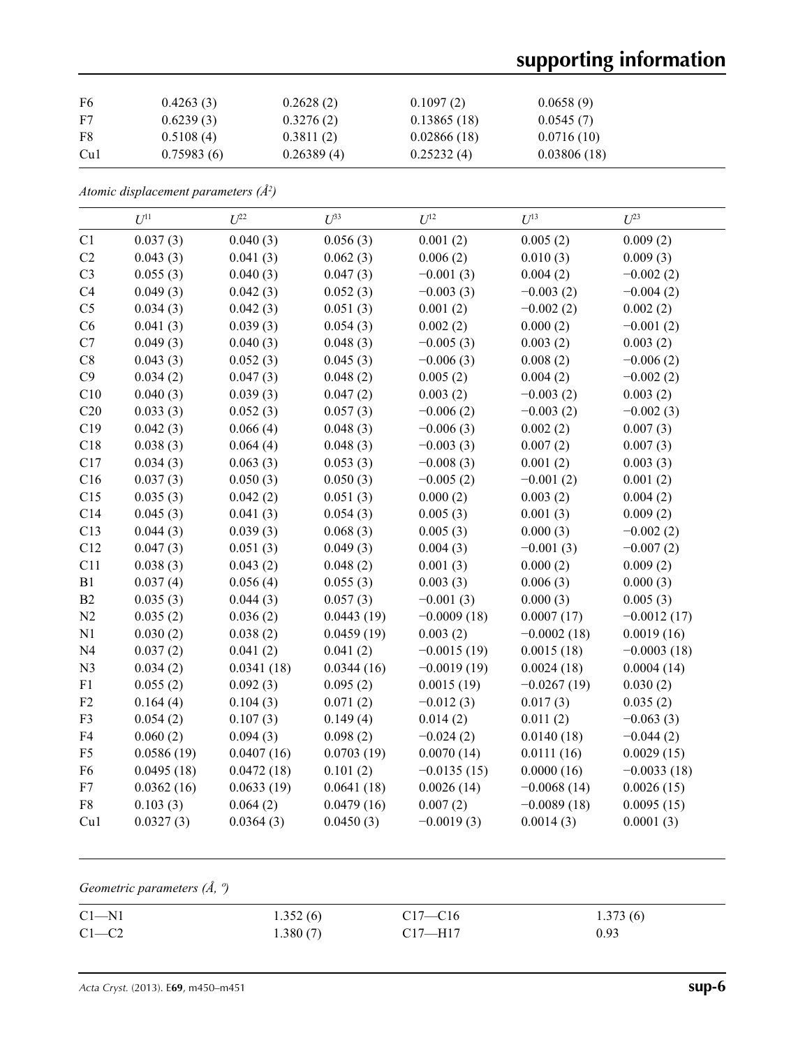# **supporting information**

| F6  | 0.4263(3)  | 0.2628(2)  | 0.1097(2)   | 0.0658(9)   |
|-----|------------|------------|-------------|-------------|
| F7  | 0.6239(3)  | 0.3276(2)  | 0.13865(18) | 0.0545(7)   |
| F8  | 0.5108(4)  | 0.3811(2)  | 0.02866(18) | 0.0716(10)  |
| Cu1 | 0.75983(6) | 0.26389(4) | 0.25232(4)  | 0.03806(18) |

*Atomic displacement parameters (Å2 )*

|                | $U^{11}$   | $U^{22}$   | $U^{33}$   | $U^{12}$      | $U^{13}$      | $U^{23}$      |
|----------------|------------|------------|------------|---------------|---------------|---------------|
| C1             | 0.037(3)   | 0.040(3)   | 0.056(3)   | 0.001(2)      | 0.005(2)      | 0.009(2)      |
| C <sub>2</sub> | 0.043(3)   | 0.041(3)   | 0.062(3)   | 0.006(2)      | 0.010(3)      | 0.009(3)      |
| C <sub>3</sub> | 0.055(3)   | 0.040(3)   | 0.047(3)   | $-0.001(3)$   | 0.004(2)      | $-0.002(2)$   |
| C4             | 0.049(3)   | 0.042(3)   | 0.052(3)   | $-0.003(3)$   | $-0.003(2)$   | $-0.004(2)$   |
| C <sub>5</sub> | 0.034(3)   | 0.042(3)   | 0.051(3)   | 0.001(2)      | $-0.002(2)$   | 0.002(2)      |
| C6             | 0.041(3)   | 0.039(3)   | 0.054(3)   | 0.002(2)      | 0.000(2)      | $-0.001(2)$   |
| C7             | 0.049(3)   | 0.040(3)   | 0.048(3)   | $-0.005(3)$   | 0.003(2)      | 0.003(2)      |
| C8             | 0.043(3)   | 0.052(3)   | 0.045(3)   | $-0.006(3)$   | 0.008(2)      | $-0.006(2)$   |
| C9             | 0.034(2)   | 0.047(3)   | 0.048(2)   | 0.005(2)      | 0.004(2)      | $-0.002(2)$   |
| C10            | 0.040(3)   | 0.039(3)   | 0.047(2)   | 0.003(2)      | $-0.003(2)$   | 0.003(2)      |
| C20            | 0.033(3)   | 0.052(3)   | 0.057(3)   | $-0.006(2)$   | $-0.003(2)$   | $-0.002(3)$   |
| C19            | 0.042(3)   | 0.066(4)   | 0.048(3)   | $-0.006(3)$   | 0.002(2)      | 0.007(3)      |
| C18            | 0.038(3)   | 0.064(4)   | 0.048(3)   | $-0.003(3)$   | 0.007(2)      | 0.007(3)      |
| C17            | 0.034(3)   | 0.063(3)   | 0.053(3)   | $-0.008(3)$   | 0.001(2)      | 0.003(3)      |
| C16            | 0.037(3)   | 0.050(3)   | 0.050(3)   | $-0.005(2)$   | $-0.001(2)$   | 0.001(2)      |
| C15            | 0.035(3)   | 0.042(2)   | 0.051(3)   | 0.000(2)      | 0.003(2)      | 0.004(2)      |
| C14            | 0.045(3)   | 0.041(3)   | 0.054(3)   | 0.005(3)      | 0.001(3)      | 0.009(2)      |
| C13            | 0.044(3)   | 0.039(3)   | 0.068(3)   | 0.005(3)      | 0.000(3)      | $-0.002(2)$   |
| C12            | 0.047(3)   | 0.051(3)   | 0.049(3)   | 0.004(3)      | $-0.001(3)$   | $-0.007(2)$   |
| C11            | 0.038(3)   | 0.043(2)   | 0.048(2)   | 0.001(3)      | 0.000(2)      | 0.009(2)      |
| B1             | 0.037(4)   | 0.056(4)   | 0.055(3)   | 0.003(3)      | 0.006(3)      | 0.000(3)      |
| B2             | 0.035(3)   | 0.044(3)   | 0.057(3)   | $-0.001(3)$   | 0.000(3)      | 0.005(3)      |
| N2             | 0.035(2)   | 0.036(2)   | 0.0443(19) | $-0.0009(18)$ | 0.0007(17)    | $-0.0012(17)$ |
| N1             | 0.030(2)   | 0.038(2)   | 0.0459(19) | 0.003(2)      | $-0.0002(18)$ | 0.0019(16)    |
| N <sub>4</sub> | 0.037(2)   | 0.041(2)   | 0.041(2)   | $-0.0015(19)$ | 0.0015(18)    | $-0.0003(18)$ |
| N <sub>3</sub> | 0.034(2)   | 0.0341(18) | 0.0344(16) | $-0.0019(19)$ | 0.0024(18)    | 0.0004(14)    |
| F1             | 0.055(2)   | 0.092(3)   | 0.095(2)   | 0.0015(19)    | $-0.0267(19)$ | 0.030(2)      |
| F <sub>2</sub> | 0.164(4)   | 0.104(3)   | 0.071(2)   | $-0.012(3)$   | 0.017(3)      | 0.035(2)      |
| F3             | 0.054(2)   | 0.107(3)   | 0.149(4)   | 0.014(2)      | 0.011(2)      | $-0.063(3)$   |
| F4             | 0.060(2)   | 0.094(3)   | 0.098(2)   | $-0.024(2)$   | 0.0140(18)    | $-0.044(2)$   |
| F <sub>5</sub> | 0.0586(19) | 0.0407(16) | 0.0703(19) | 0.0070(14)    | 0.0111(16)    | 0.0029(15)    |
| F <sub>6</sub> | 0.0495(18) | 0.0472(18) | 0.101(2)   | $-0.0135(15)$ | 0.0000(16)    | $-0.0033(18)$ |
| F7             | 0.0362(16) | 0.0633(19) | 0.0641(18) | 0.0026(14)    | $-0.0068(14)$ | 0.0026(15)    |
| ${\rm F}8$     | 0.103(3)   | 0.064(2)   | 0.0479(16) | 0.007(2)      | $-0.0089(18)$ | 0.0095(15)    |
| Cu1            | 0.0327(3)  | 0.0364(3)  | 0.0450(3)  | $-0.0019(3)$  | 0.0014(3)     | 0.0001(3)     |

*Geometric parameters (Å, º)*

| $C1 - N1$ | 1.352(6) | $C17 - C16$ | 1.373(6) |
|-----------|----------|-------------|----------|
| $C1-C2$   | 1.380(7) | $C17 - H17$ | 0.93     |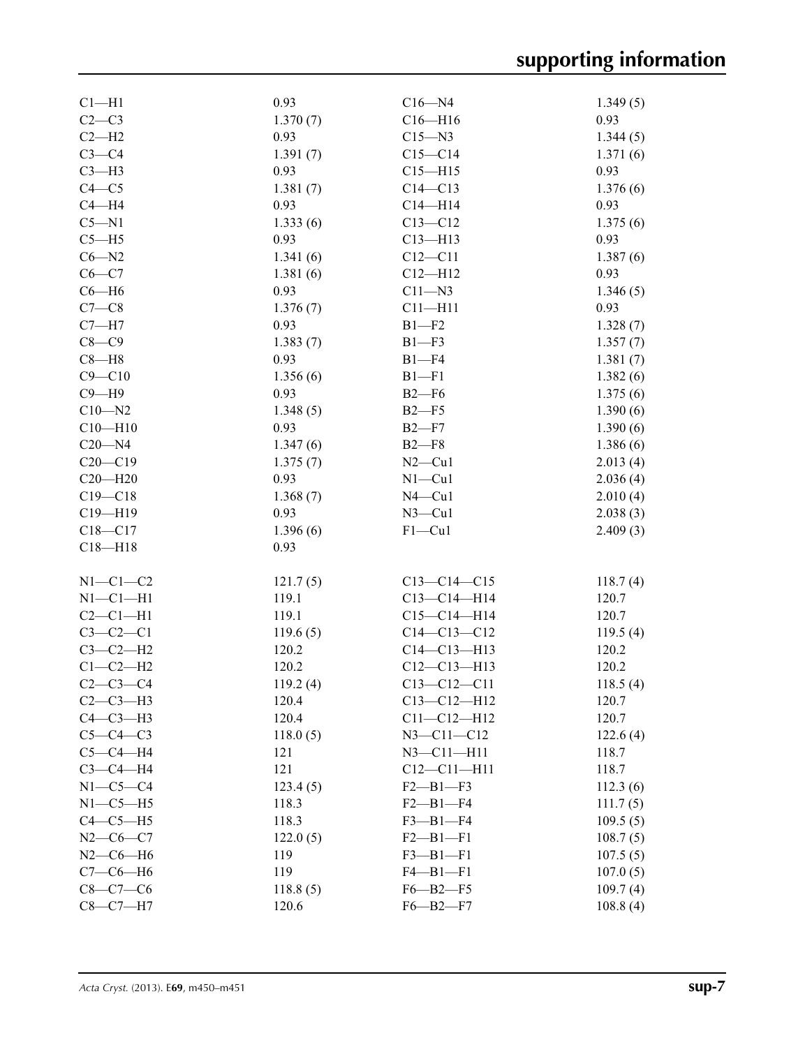| $Cl-H1$        | 0.93     | $C16 - N4$        | 1.349(5) |
|----------------|----------|-------------------|----------|
| $C2-C3$        | 1.370(7) | $C16 - H16$       | 0.93     |
| $C2-H2$        | 0.93     | $C15 - N3$        | 1.344(5) |
| $C3-C4$        | 1.391(7) | $C15 - C14$       | 1.371(6) |
| $C3-H3$        | 0.93     | $C15 - H15$       | 0.93     |
| $C4 - C5$      | 1.381(7) | $C14 - C13$       | 1.376(6) |
| $C4 - H4$      | 0.93     | $C14 - H14$       | 0.93     |
| $C5 - N1$      | 1.333(6) | $C13 - C12$       | 1.375(6) |
| $C5 - H5$      | 0.93     | $C13 - H13$       | 0.93     |
| $C6 - N2$      | 1.341(6) | $C12 - C11$       | 1.387(6) |
| $C6-C7$        | 1.381(6) | $C12 - H12$       | 0.93     |
| $C6 - H6$      | 0.93     | $C11 - N3$        | 1.346(5) |
| $C7-C8$        | 1.376(7) | $C11 - H11$       | 0.93     |
| $C7 - H7$      | 0.93     | $B1 - F2$         | 1.328(7) |
| $C8-C9$        |          |                   |          |
|                | 1.383(7) | $B1 - F3$         | 1.357(7) |
| $C8 - H8$      | 0.93     | $B1 - F4$         | 1.381(7) |
| $C9 - C10$     | 1.356(6) | $B1 - F1$         | 1.382(6) |
| $C9 - H9$      | 0.93     | $B2-F6$           | 1.375(6) |
| $C10 - N2$     | 1.348(5) | $B2-F5$           | 1.390(6) |
| $C10 - H10$    | 0.93     | $B2-F7$           | 1.390(6) |
| $C20 - N4$     | 1.347(6) | $B2-F8$           | 1.386(6) |
| $C20 - C19$    | 1.375(7) | $N2$ — $Cu1$      | 2.013(4) |
| $C20 - H20$    | 0.93     | $N1 - Cu1$        | 2.036(4) |
| $C19 - C18$    | 1.368(7) | $N4$ –Cul         | 2.010(4) |
| $C19 - H19$    | 0.93     | $N3$ –Cu1         | 2.038(3) |
| $C18 - C17$    | 1.396(6) | $F1-Cu1$          | 2.409(3) |
| $C18 - H18$    | 0.93     |                   |          |
|                |          |                   |          |
| $N1-C1-C2$     | 121.7(5) | $C13-C14-C15$     | 118.7(4) |
| $N1-C1-H1$     | 119.1    | $C13 - C14 - H14$ | 120.7    |
| $C2-C1-H1$     | 119.1    | $C15 - C14 - H14$ | 120.7    |
| $C3 - C2 - C1$ | 119.6(5) | $C14 - C13 - C12$ | 119.5(4) |
| $C3-C2-H2$     | 120.2    | $C14 - C13 - H13$ | 120.2    |
| $C1-C2-H2$     | 120.2    | $C12 - C13 - H13$ | 120.2    |
| $C2-C3-C4$     | 119.2(4) | $C13 - C12 - C11$ | 118.5(4) |
| $C2-C3-H3$     | 120.4    | $C13 - C12 - H12$ | 120.7    |
| $C4-C3-H3$     | 120.4    | $C11 - C12 - H12$ | 120.7    |
| $C5-C4-C3$     | 118.0(5) | $N3 - C11 - C12$  | 122.6(4) |
| $C5-C4-H4$     | 121      | $N3 - C11 - H11$  | 118.7    |
| $C3-C4-H4$     | 121      | $C12 - C11 - H11$ | 118.7    |
| $N1-C5-C4$     |          | $F2 - B1 - F3$    |          |
|                | 123.4(5) |                   | 112.3(6) |
| $N1-C5-H5$     | 118.3    | $F2 - B1 - F4$    | 111.7(5) |
| $C4-C5-H5$     | 118.3    | $F3 - B1 - F4$    | 109.5(5) |
| $N2-C6-C7$     | 122.0(5) | $F2 - B1 - F1$    | 108.7(5) |
| $N2$ –C6–H6    | 119      | $F3 - B1 - F1$    | 107.5(5) |
| $C7-C6-H6$     | 119      | $F4 - B1 - F1$    | 107.0(5) |
| $C8 - C7 - C6$ | 118.8(5) | $F6 - B2 - F5$    | 109.7(4) |
| $C8-C7-H7$     | 120.6    | $F6 - B2 - F7$    | 108.8(4) |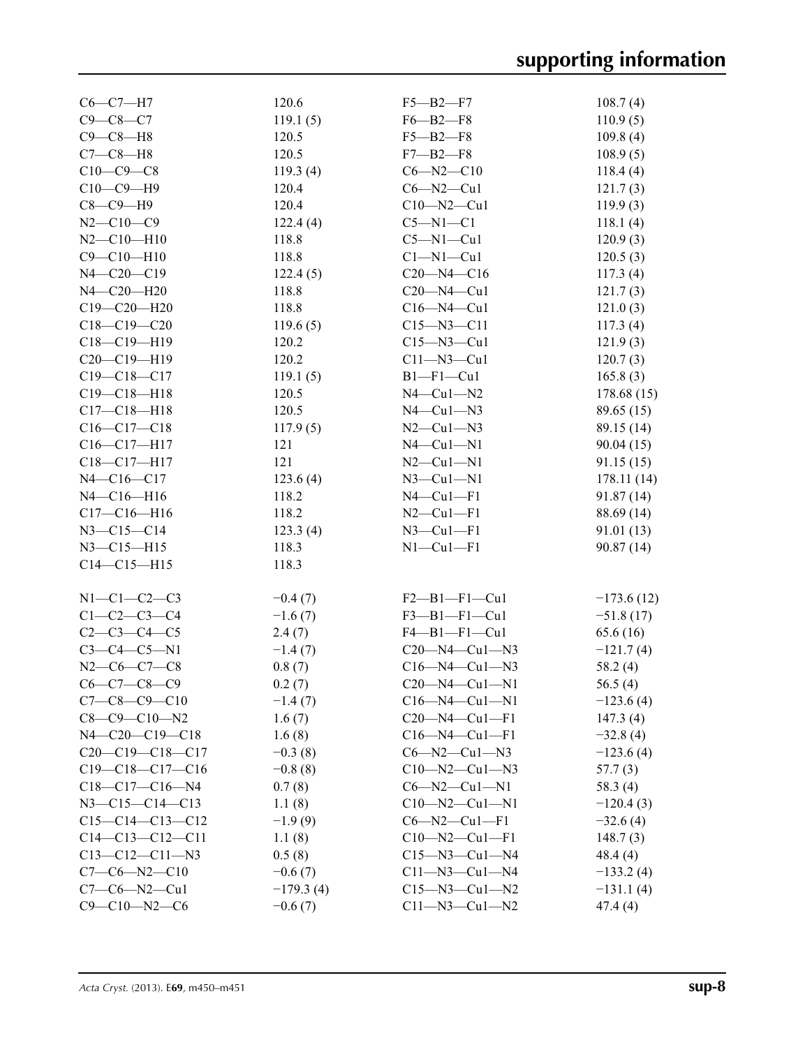| $C6-C7-H7$             | 120.6       | $F5 - B2 - F7$          | 108.7(4)     |
|------------------------|-------------|-------------------------|--------------|
| $C9 - C8 - C7$         | 119.1(5)    | $F6 - B2 - F8$          | 110.9(5)     |
| $C9-C8-H8$             | 120.5       | $F5 - B2 - F8$          | 109.8(4)     |
| $C7-C8-H8$             | 120.5       | $F7 - B2 - F8$          | 108.9(5)     |
| $C10-C9-C8$            | 119.3(4)    | $C6 - N2 - C10$         | 118.4(4)     |
| $C10-C9-H9$            | 120.4       | $C6 - N2 - Cu1$         | 121.7(3)     |
| $C8-C9-H9$             | 120.4       | $C10 - N2 - Cu1$        | 119.9(3)     |
| $N2 - C10 - C9$        | 122.4(4)    | $C5 - N1 - C1$          | 118.1(4)     |
| $N2 - C10 - H10$       | 118.8       | $C5 - N1 - Cu1$         | 120.9(3)     |
| $C9 - C10 - H10$       | 118.8       | $Cl-M1-Cu1$             | 120.5(3)     |
| N4-C20-C19             | 122.4(5)    | $C20 - N4 - C16$        | 117.3(4)     |
| N4-C20-H20             | 118.8       | $C20 - N4 - Cu1$        | 121.7(3)     |
| $C19 - C20 - H20$      | 118.8       | $C16 - N4 - Cu1$        | 121.0(3)     |
| $C18 - C19 - C20$      | 119.6(5)    | $C15 - N3 - C11$        | 117.3(4)     |
| $C18-C19-H19$          | 120.2       | $C15 - N3 - Cu1$        | 121.9(3)     |
| C20-C19-H19            | 120.2       | $Cl1 - N3 - Cl1$        | 120.7(3)     |
| $C19 - C18 - C17$      | 119.1(5)    | $B1-F1-Cu1$             | 165.8(3)     |
| $C19 - C18 - H18$      | 120.5       | $N4$ — $Cu1$ — $N2$     | 178.68 (15)  |
| $C17 - C18 - H18$      | 120.5       | $N4$ — $Cu1$ — $N3$     | 89.65 (15)   |
| $C16-C17-C18$          | 117.9(5)    | $N2$ — $Cu1$ — $N3$     | 89.15 (14)   |
| $C16-C17-H17$          | 121         | $N4$ — $Cu1$ — $N1$     | 90.04(15)    |
| C18-C17-H17            | 121         | $N2-Cu1-N1$             | 91.15(15)    |
| N4-C16-C17             | 123.6(4)    | $N3$ –Cul–N1            | 178.11(14)   |
| N4-C16-H16             | 118.2       | $N4$ — $Cu1$ — $F1$     | 91.87 (14)   |
| $C17 - C16 - H16$      | 118.2       | $N2-Cu1-F1$             | 88.69 (14)   |
| $N3 - C15 - C14$       | 123.3(4)    | $N3$ –Cul–Fl            | 91.01 (13)   |
| $N3 - C15 - H15$       | 118.3       | $N1-Cu1-F1$             | 90.87(14)    |
| $C14 - C15 - H15$      | 118.3       |                         |              |
|                        |             |                         |              |
| $N1-C1-C2-C3$          | $-0.4(7)$   | $F2$ — $B1$ — $F1$ —Cu1 | $-173.6(12)$ |
| $C1 - C2 - C3 - C4$    | $-1.6(7)$   | $F3 - B1 - F1 - Cu1$    | $-51.8(17)$  |
| $C2 - C3 - C4 - C5$    | 2.4(7)      | $F4 - B1 - F1 - Cu1$    | 65.6 (16)    |
| $C3-C4-C5-N1$          | $-1.4(7)$   | $C20-M4-Cu1-N3$         | $-121.7(4)$  |
| $N2$ –C6–C7–C8         | 0.8(7)      | $C16 - N4 - Cu1 - N3$   | 58.2(4)      |
| $C6-C7-C8-C9$          | 0.2(7)      | $C20 - N4 - Cu1 - N1$   | 56.5 $(4)$   |
| $C7-C8-C9-C10$         | $-1.4(7)$   | $C16 - N4 - Cu1 - N1$   | $-123.6(4)$  |
| $C8-C9-C10-N2$         | 1.6(7)      | $C20 - N4 - Cu1 - F1$   | 147.3(4)     |
| $N4 - C20 - C19 - C18$ | 1.6(8)      | $C16 - N4 - Cu1 - F1$   | $-32.8(4)$   |
| $C20-C19-C18-C17$      | $-0.3(8)$   | $C6 - N2 - Cu1 - N3$    | $-123.6(4)$  |
| $C19-C18-C17-C16$      | $-0.8(8)$   | $C10 - N2 - Cu1 - N3$   | 57.7(3)      |
| $C18-C17-C16-N4$       | 0.7(8)      | $C6 - N2 - Cu1 - N1$    | 58.3 (4)     |
| $N3 - C15 - C14 - C13$ | 1.1(8)      | $C10-M2-Cu1-N1$         | $-120.4(3)$  |
| $C15-C14-C13-C12$      | $-1.9(9)$   | $C6 - N2 - Cu1 - F1$    | $-32.6(4)$   |
| $C14-C13-C12-C11$      | 1.1(8)      | $C10 - N2 - Cu1 - F1$   | 148.7(3)     |
| $C13-C12-C11-N3$       | 0.5(8)      | $C15 - N3 - Cu1 - N4$   | 48.4(4)      |
| $C7-C6-N2-C10$         | $-0.6(7)$   | $C11 - N3 - Cu1 - N4$   | $-133.2(4)$  |
| $C7-C6-N2-Cu1$         | $-179.3(4)$ | $C15 - N3 - Cu1 - N2$   | $-131.1(4)$  |
| $C9 - C10 - N2 - C6$   | $-0.6(7)$   | $C11 - N3 - Cu1 - N2$   | 47.4(4)      |